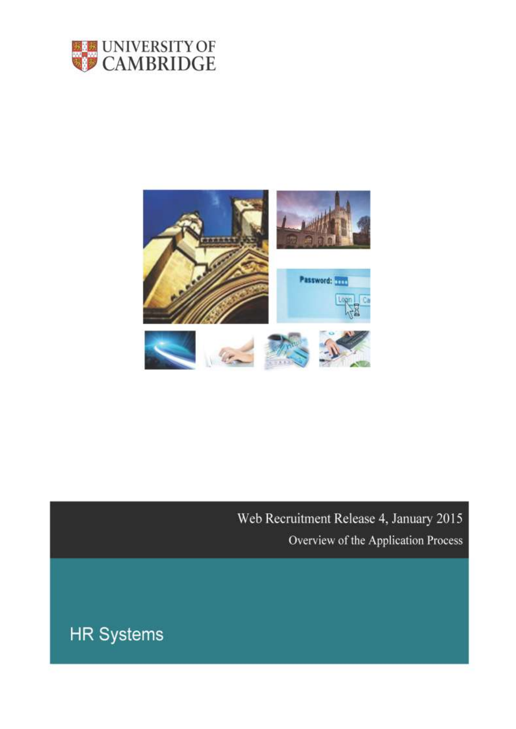



Web Recruitment Release 4, January 2015 Overview of the Application Process

**HR Systems**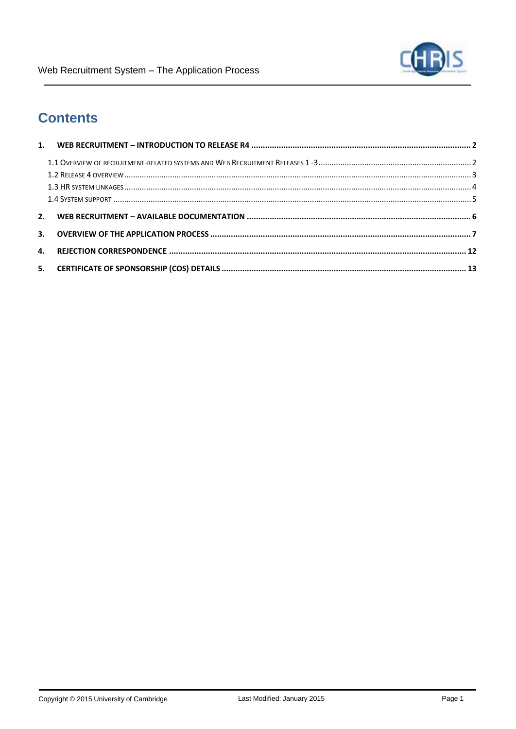# **Contents**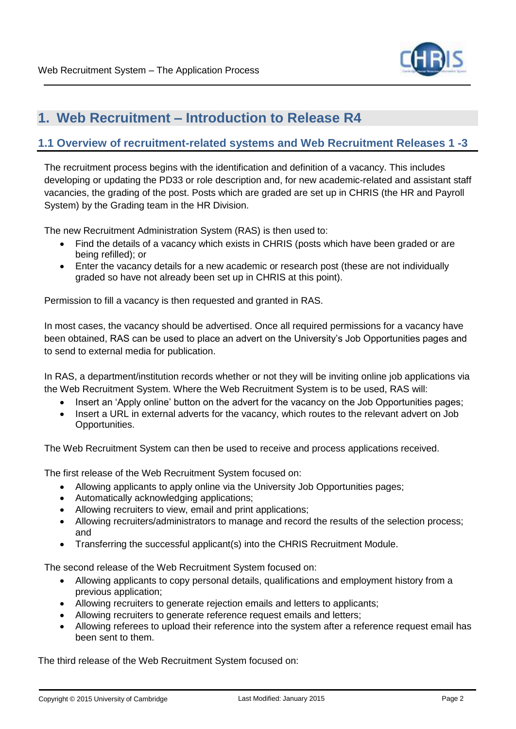

### <span id="page-2-0"></span>**1. Web Recruitment – Introduction to Release R4**

#### <span id="page-2-1"></span>**1.1 Overview of recruitment-related systems and Web Recruitment Releases 1 -3**

The recruitment process begins with the identification and definition of a vacancy. This includes developing or updating the PD33 or role description and, for new academic-related and assistant staff vacancies, the grading of the post. Posts which are graded are set up in CHRIS (the HR and Payroll System) by the Grading team in the HR Division.

The new Recruitment Administration System (RAS) is then used to:

- Find the details of a vacancy which exists in CHRIS (posts which have been graded or are being refilled); or
- Enter the vacancy details for a new academic or research post (these are not individually graded so have not already been set up in CHRIS at this point).

Permission to fill a vacancy is then requested and granted in RAS.

In most cases, the vacancy should be advertised. Once all required permissions for a vacancy have been obtained, RAS can be used to place an advert on the University's Job Opportunities pages and to send to external media for publication.

In RAS, a department/institution records whether or not they will be inviting online job applications via the Web Recruitment System. Where the Web Recruitment System is to be used, RAS will:

- Insert an 'Apply online' button on the advert for the vacancy on the Job Opportunities pages;
- Insert a URL in external adverts for the vacancy, which routes to the relevant advert on Job Opportunities.

The Web Recruitment System can then be used to receive and process applications received.

The first release of the Web Recruitment System focused on:

- Allowing applicants to apply online via the University Job Opportunities pages;
- Automatically acknowledging applications;
- Allowing recruiters to view, email and print applications;
- Allowing recruiters/administrators to manage and record the results of the selection process; and
- Transferring the successful applicant(s) into the CHRIS Recruitment Module.

The second release of the Web Recruitment System focused on:

- Allowing applicants to copy personal details, qualifications and employment history from a previous application;
- Allowing recruiters to generate rejection emails and letters to applicants;
- Allowing recruiters to generate reference request emails and letters;
- Allowing referees to upload their reference into the system after a reference request email has been sent to them.

The third release of the Web Recruitment System focused on: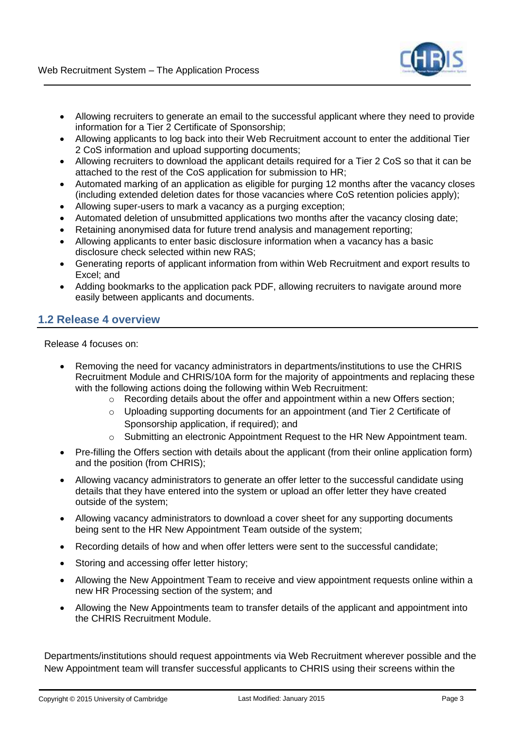

- Allowing recruiters to generate an email to the successful applicant where they need to provide information for a Tier 2 Certificate of Sponsorship;
- Allowing applicants to log back into their Web Recruitment account to enter the additional Tier 2 CoS information and upload supporting documents;
- Allowing recruiters to download the applicant details required for a Tier 2 CoS so that it can be attached to the rest of the CoS application for submission to HR;
- Automated marking of an application as eligible for purging 12 months after the vacancy closes (including extended deletion dates for those vacancies where CoS retention policies apply);
- Allowing super-users to mark a vacancy as a purging exception;
- Automated deletion of unsubmitted applications two months after the vacancy closing date;
- Retaining anonymised data for future trend analysis and management reporting;
- Allowing applicants to enter basic disclosure information when a vacancy has a basic disclosure check selected within new RAS;
- Generating reports of applicant information from within Web Recruitment and export results to Excel; and
- Adding bookmarks to the application pack PDF, allowing recruiters to navigate around more easily between applicants and documents.

#### <span id="page-3-0"></span>**1.2 Release 4 overview**

Release 4 focuses on:

- Removing the need for vacancy administrators in departments/institutions to use the CHRIS Recruitment Module and CHRIS/10A form for the majority of appointments and replacing these with the following actions doing the following within Web Recruitment:
	- o Recording details about the offer and appointment within a new Offers section;
	- o Uploading supporting documents for an appointment (and Tier 2 Certificate of Sponsorship application, if required); and
	- $\circ$  Submitting an electronic Appointment Request to the HR New Appointment team.
- Pre-filling the Offers section with details about the applicant (from their online application form) and the position (from CHRIS);
- Allowing vacancy administrators to generate an offer letter to the successful candidate using details that they have entered into the system or upload an offer letter they have created outside of the system;
- Allowing vacancy administrators to download a cover sheet for any supporting documents being sent to the HR New Appointment Team outside of the system;
- Recording details of how and when offer letters were sent to the successful candidate;
- Storing and accessing offer letter history;
- Allowing the New Appointment Team to receive and view appointment requests online within a new HR Processing section of the system; and
- Allowing the New Appointments team to transfer details of the applicant and appointment into the CHRIS Recruitment Module.

Departments/institutions should request appointments via Web Recruitment wherever possible and the New Appointment team will transfer successful applicants to CHRIS using their screens within the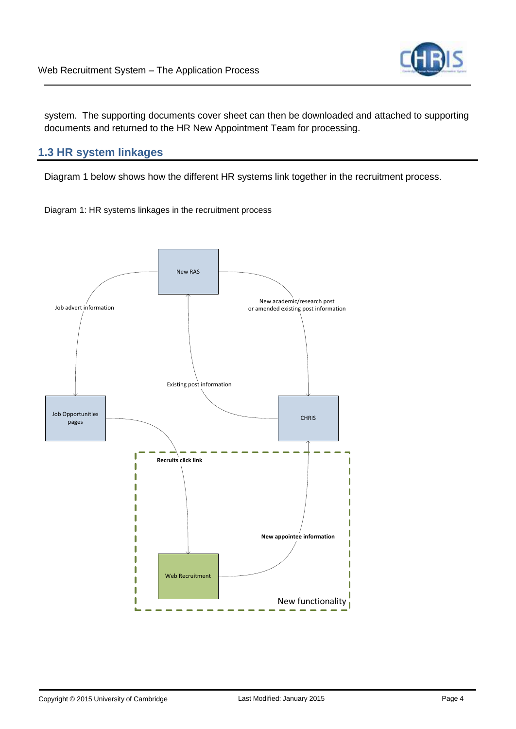

system. The supporting documents cover sheet can then be downloaded and attached to supporting documents and returned to the HR New Appointment Team for processing.

#### <span id="page-4-0"></span>**1.3 HR system linkages**

Diagram 1 below shows how the different HR systems link together in the recruitment process.

Diagram 1: HR systems linkages in the recruitment process

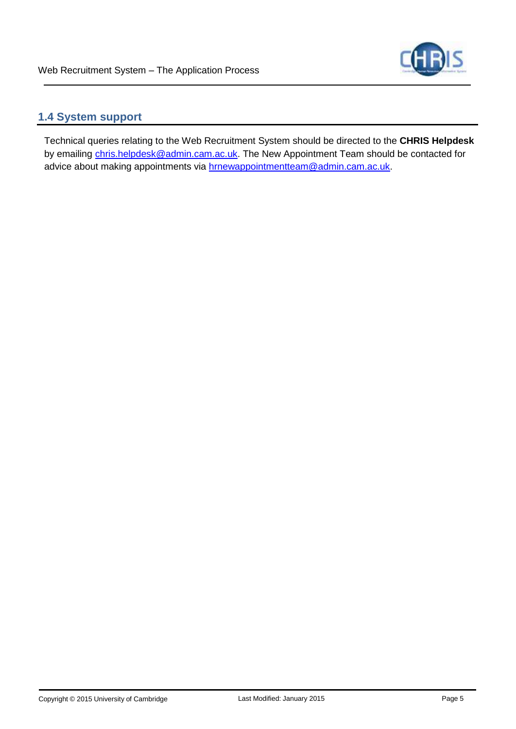

#### <span id="page-5-0"></span>**1.4 System support**

Technical queries relating to the Web Recruitment System should be directed to the **CHRIS Helpdesk**  by emailing [chris.helpdesk@admin.cam.ac.uk.](mailto:chris.helpdesk@admin.cam.ac.uk) The New Appointment Team should be contacted for advice about making appointments via **hrnewappointmentteam@admin.cam.ac.uk**.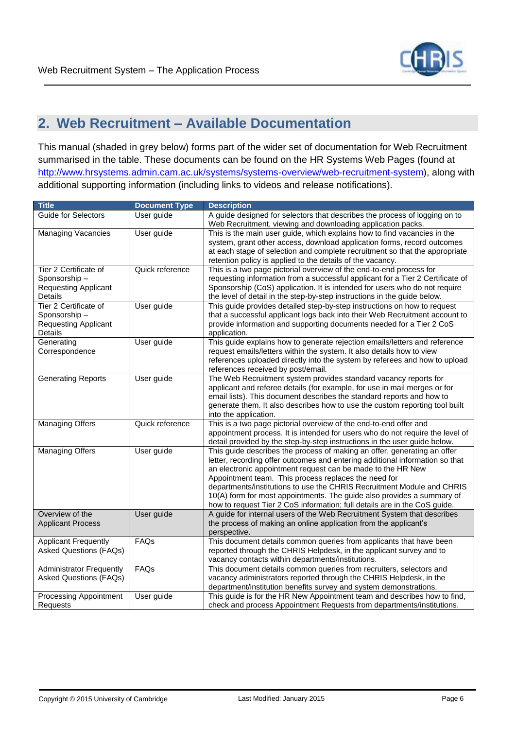

# <span id="page-6-0"></span>**2. Web Recruitment – Available Documentation**

This manual (shaded in grey below) forms part of the wider set of documentation for Web Recruitment summarised in the table. These documents can be found on the HR Systems Web Pages (found at [http://www.hrsystems.admin.cam.ac.uk/systems/systems-overview/web-recruitment-system\)](http://www.hrsystems.admin.cam.ac.uk/systems/systems-overview/web-recruitment-system), along with additional supporting information (including links to videos and release notifications).

| <b>Title</b>                                                                           | <b>Document Type</b> | <b>Description</b>                                                                                                                                                                                                                                                                                                                                                                                                                                                                                               |
|----------------------------------------------------------------------------------------|----------------------|------------------------------------------------------------------------------------------------------------------------------------------------------------------------------------------------------------------------------------------------------------------------------------------------------------------------------------------------------------------------------------------------------------------------------------------------------------------------------------------------------------------|
| Guide for Selectors                                                                    | User guide           | A guide designed for selectors that describes the process of logging on to<br>Web Recruitment, viewing and downloading application packs.                                                                                                                                                                                                                                                                                                                                                                        |
| <b>Managing Vacancies</b>                                                              | User guide           | This is the main user guide, which explains how to find vacancies in the<br>system, grant other access, download application forms, record outcomes<br>at each stage of selection and complete recruitment so that the appropriate<br>retention policy is applied to the details of the vacancy.                                                                                                                                                                                                                 |
| Tier 2 Certificate of<br>Sponsorship-<br><b>Requesting Applicant</b><br><b>Details</b> | Quick reference      | This is a two page pictorial overview of the end-to-end process for<br>requesting information from a successful applicant for a Tier 2 Certificate of<br>Sponsorship (CoS) application. It is intended for users who do not require<br>the level of detail in the step-by-step instructions in the guide below.                                                                                                                                                                                                  |
| Tier 2 Certificate of<br>Sponsorship-<br><b>Requesting Applicant</b><br>Details        | User guide           | This guide provides detailed step-by-step instructions on how to request<br>that a successful applicant logs back into their Web Recruitment account to<br>provide information and supporting documents needed for a Tier 2 CoS<br>application.                                                                                                                                                                                                                                                                  |
| Generating<br>Correspondence                                                           | User guide           | This guide explains how to generate rejection emails/letters and reference<br>request emails/letters within the system. It also details how to view<br>references uploaded directly into the system by referees and how to upload<br>references received by post/email.                                                                                                                                                                                                                                          |
| <b>Generating Reports</b>                                                              | User guide           | The Web Recruitment system provides standard vacancy reports for<br>applicant and referee details (for example, for use in mail merges or for<br>email lists). This document describes the standard reports and how to<br>generate them. It also describes how to use the custom reporting tool built<br>into the application.                                                                                                                                                                                   |
| <b>Managing Offers</b>                                                                 | Quick reference      | This is a two page pictorial overview of the end-to-end offer and<br>appointment process. It is intended for users who do not require the level of<br>detail provided by the step-by-step instructions in the user guide below.                                                                                                                                                                                                                                                                                  |
| <b>Managing Offers</b>                                                                 | User guide           | This guide describes the process of making an offer, generating an offer<br>letter, recording offer outcomes and entering additional information so that<br>an electronic appointment request can be made to the HR New<br>Appointment team. This process replaces the need for<br>departments/institutions to use the CHRIS Recruitment Module and CHRIS<br>10(A) form for most appointments. The guide also provides a summary of<br>how to request Tier 2 CoS information; full details are in the CoS guide. |
| Overview of the<br><b>Applicant Process</b>                                            | User guide           | A guide for internal users of the Web Recruitment System that describes<br>the process of making an online application from the applicant's<br>perspective.                                                                                                                                                                                                                                                                                                                                                      |
| <b>Applicant Frequently</b><br><b>Asked Questions (FAQs)</b>                           | FAQs                 | This document details common queries from applicants that have been<br>reported through the CHRIS Helpdesk, in the applicant survey and to<br>vacancy contacts within departments/institutions.                                                                                                                                                                                                                                                                                                                  |
| <b>Administrator Frequently</b><br><b>Asked Questions (FAQs)</b>                       | FAQs                 | This document details common queries from recruiters, selectors and<br>vacancy administrators reported through the CHRIS Helpdesk, in the<br>department/institution benefits survey and system demonstrations.                                                                                                                                                                                                                                                                                                   |
| <b>Processing Appointment</b><br><b>Requests</b>                                       | User guide           | This guide is for the HR New Appointment team and describes how to find,<br>check and process Appointment Requests from departments/institutions.                                                                                                                                                                                                                                                                                                                                                                |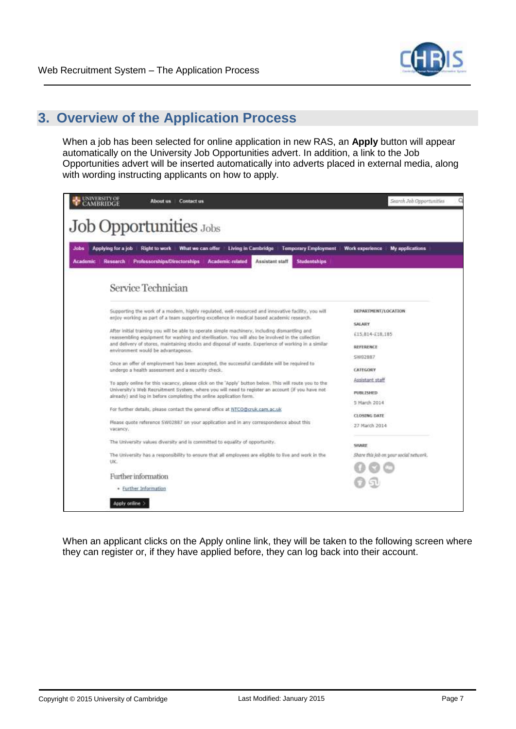

### <span id="page-7-0"></span>**3. Overview of the Application Process**

When a job has been selected for online application in new RAS, an **Apply** button will appear automatically on the University Job Opportunities advert. In addition, a link to the Job Opportunities advert will be inserted automatically into adverts placed in external media, along with wording instructing applicants on how to apply.

| <b>UNIVERSITY OF</b><br><b>AMBRIDGE</b>                   | About us Contact us                                                                                                                                                                                                                                                              | Search Job Opportunities                  |
|-----------------------------------------------------------|----------------------------------------------------------------------------------------------------------------------------------------------------------------------------------------------------------------------------------------------------------------------------------|-------------------------------------------|
|                                                           | Job Opportunities Jobs                                                                                                                                                                                                                                                           |                                           |
| Applying for a job<br>Jobs<br><b>Resoarch</b><br>Academic | Right to work<br>What we can offer<br><b>Living in Cambridge</b><br><b>Temporary Employment</b><br><b>Professorships/Directorships</b><br><b>Academic-related</b><br>Assistant staff<br><b>Studentships</b>                                                                      | <b>Work experience</b><br>My applications |
|                                                           | Service Technician                                                                                                                                                                                                                                                               |                                           |
|                                                           | Supporting the work of a modern, highly regulated, well-resourced and innovative facility, you will<br>enjoy working as part of a team supporting excellence in medical based academic research.                                                                                 | DEPARTMENT/LOCATION                       |
|                                                           | After initial training you will be able to operate simple machinery, including dismantling and                                                                                                                                                                                   | SALARY                                    |
|                                                           | reassembling equipment for washing and sterilisation. You will also be involved in the collection<br>and delivery of stores, maintaining stocks and disposal of waste. Experience of working in a similar<br>environment would be advantageous.                                  | £15,814-£18,185<br>REFERENCE              |
|                                                           |                                                                                                                                                                                                                                                                                  | SW02887                                   |
|                                                           | Once an offer of employment has been accepted, the successful candidate will be required to<br>undergo a health assessment and a security check.                                                                                                                                 | CATEGORY                                  |
|                                                           |                                                                                                                                                                                                                                                                                  | Assistant staff                           |
|                                                           | To apply online for this vacancy, please click on the 'Apply' button below. This will route you to the<br>University's Web Recruitment System, where you will need to register an account (if you have not<br>aiready) and log in before completing the online application form. | PUBLISHED                                 |
|                                                           | For further details, please contact the general office at NTCD@cruk.cam.ac.uk                                                                                                                                                                                                    | 5 March 2014                              |
|                                                           |                                                                                                                                                                                                                                                                                  | <b>CLOSING DATE</b>                       |
| vacancy,                                                  | Please quote reference SW02887 on your application and in any correspondence about this                                                                                                                                                                                          | 27 March 2014                             |
|                                                           | The tiniversity values diversity and is committed to equality of opportunity.                                                                                                                                                                                                    | SHARE                                     |
|                                                           | The University has a responsibility to ensure that all employees are eligible to live and work in the                                                                                                                                                                            | Share this job on your social network.    |
| UK.                                                       |                                                                                                                                                                                                                                                                                  |                                           |
|                                                           | Further information                                                                                                                                                                                                                                                              |                                           |
|                                                           | · Further Information                                                                                                                                                                                                                                                            |                                           |
| Apply online >                                            |                                                                                                                                                                                                                                                                                  |                                           |

When an applicant clicks on the Apply online link, they will be taken to the following screen where they can register or, if they have applied before, they can log back into their account.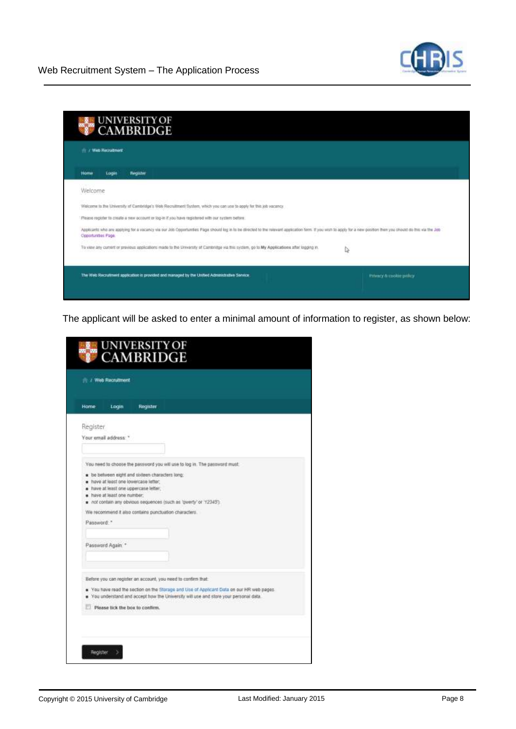

| <b>If I Web Required</b> |                                                                                                                                                                                                                    |   |
|--------------------------|--------------------------------------------------------------------------------------------------------------------------------------------------------------------------------------------------------------------|---|
| Login<br><b>Home</b>     | <b>Hegister</b>                                                                                                                                                                                                    |   |
| Welcome                  |                                                                                                                                                                                                                    |   |
|                          | Welcome to the University of Cambridge's Web Recruitment System, which you can use to apply for this job vacancy.                                                                                                  |   |
|                          | Please regidler to create a new account or log-in if you have registered with our system before.                                                                                                                   |   |
| Opportunities Page.      | Applicants who are applying for a vacancy via our Job Opportunities Page should log in to be directed to the relevant application form: If you want to apply for a new position then you should do the via the Job |   |
|                          | To view any current or providus applications made to the University of Cambridge via this system, go to My Applications after logging m.                                                                           | Q |
|                          |                                                                                                                                                                                                                    |   |

The applicant will be asked to enter a minimal amount of information to register, as shown below:

| Home-      | Login                                                                                                        | <b>Register</b> |                                                                    |  |
|------------|--------------------------------------------------------------------------------------------------------------|-----------------|--------------------------------------------------------------------|--|
| Register   | Your email address: *                                                                                        |                 |                                                                    |  |
|            | n have at least one lowercase letter.<br>Thave at least one uppercase letter.<br>. have at least one number. |                 | n not contain any obvious sequences (such as 'qwerty' or '12345'). |  |
| Password." | Password Again. *                                                                                            |                 | We recommend it also contains punctuation characters.              |  |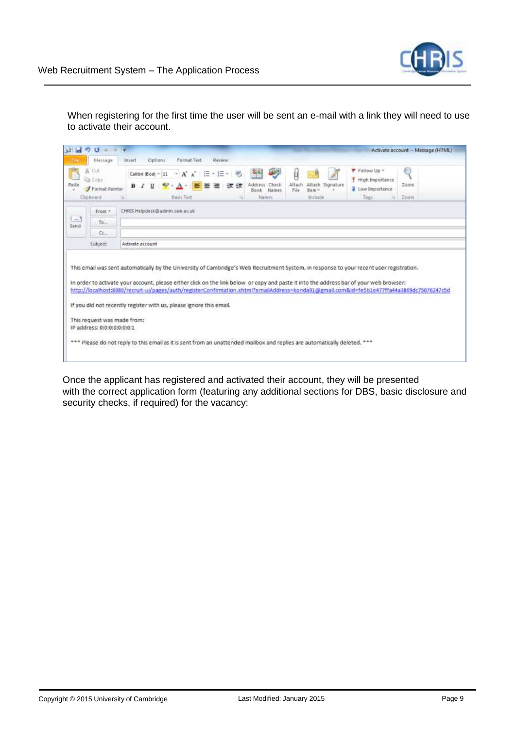

When registering for the first time the user will be sent an e-mail with a link they will need to use to activate their account.

| <b>if</b>    | $\circ$<br>de.                                    | Activate account - Message (HTML)                                                                                                                                                                                                                                                                                                                                                                                                                                                                                                      |
|--------------|---------------------------------------------------|----------------------------------------------------------------------------------------------------------------------------------------------------------------------------------------------------------------------------------------------------------------------------------------------------------------------------------------------------------------------------------------------------------------------------------------------------------------------------------------------------------------------------------------|
|              | Message                                           | Format Text<br>Review<br>Options<br>Insert                                                                                                                                                                                                                                                                                                                                                                                                                                                                                             |
| ä<br>Paste   | Cut<br><b>Copy</b><br>Format Painter<br>Clipboard | Follow Up -<br>O<br>$\frac{1}{2}$<br>・A^ $\mathbf{A}^*$   田・田・  戦<br>Calibri (Bod) ~ 11<br>High Importance<br>Address:<br>Attach<br><b>Attach</b><br>Zoom<br>Check<br>Signature<br>в<br><b>3</b> Low Importance<br>File<br>Bem-<br>Book<br>Names<br><b>Basic Text</b><br>Indude<br>Zoom<br>Names.<br>Tags<br>$\sim$<br>i.                                                                                                                                                                                                              |
|              | From >                                            | CHRIS.Helpdesk@admin.cam.ac.uk                                                                                                                                                                                                                                                                                                                                                                                                                                                                                                         |
| $-1$<br>Send | $To$ .                                            |                                                                                                                                                                                                                                                                                                                                                                                                                                                                                                                                        |
|              | $Cc$                                              |                                                                                                                                                                                                                                                                                                                                                                                                                                                                                                                                        |
|              | Subject                                           | Activate account                                                                                                                                                                                                                                                                                                                                                                                                                                                                                                                       |
|              | IP address: 0:0:0:0:0:0:0:0:1                     | This email was sent automatically by the University of Cambridge's Web Recruitment System, in response to your recent user registration.<br>In order to activate your account, please either click on the link below or copy and paste it into the address bar of your web browser:<br>http://localhost:8080/recruit-ul/pages/auth/registerConfirmation.xhtml?emailAddress=konda91@gmail.com&id=fe5b1e477ffa44a3869dc75076247c5d<br>If you did not recently register with us, please ignore this email.<br>This request was made from: |
|              |                                                   | *** Please do not reply to this email as it is sent from an unattended mailbox and replies are automatically deleted. ***                                                                                                                                                                                                                                                                                                                                                                                                              |

Once the applicant has registered and activated their account, they will be presented with the correct application form (featuring any additional sections for DBS, basic disclosure and security checks, if required) for the vacancy: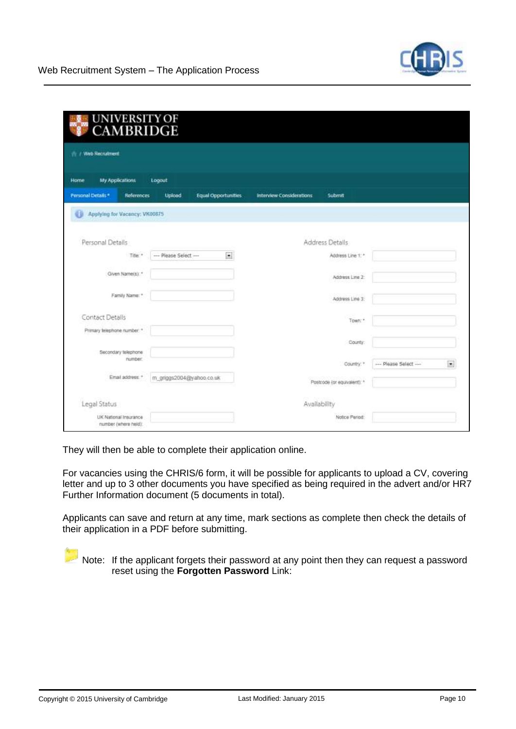| My Applications<br>Home                | Logout                   |                            |                                 |                             |                       |                          |
|----------------------------------------|--------------------------|----------------------------|---------------------------------|-----------------------------|-----------------------|--------------------------|
| Personal Details*<br>References        | Upload                   | <b>Equal Opportunities</b> | <b>Interview Considerations</b> | Submit                      |                       |                          |
| Applying for Vacancy: VK00875<br>ü     |                          |                            |                                 |                             |                       |                          |
| Personal Details                       |                          |                            |                                 | Address Details             |                       |                          |
| Title *                                | - Please Select -        | $\bullet$                  |                                 | Address Line 1: *           |                       |                          |
| Given Name(s): *                       |                          |                            |                                 | Address Line 2:             |                       |                          |
| Family Name: *                         |                          |                            |                                 | Address Line 3:             |                       |                          |
| Contact Details                        |                          |                            |                                 | Town: *                     |                       |                          |
| Primary telephone number. <sup>*</sup> |                          |                            |                                 | County:                     |                       |                          |
| Secondary telephone<br>number.         |                          |                            |                                 | Country."                   | --- Please Select --- | $\overline{\phantom{a}}$ |
| Email address."                        | m_griggs2004@yahoo.co.uk |                            |                                 | Postcode (or equivalent): * |                       |                          |

They will then be able to complete their application online.

For vacancies using the CHRIS/6 form, it will be possible for applicants to upload a CV, covering letter and up to 3 other documents you have specified as being required in the advert and/or HR7 Further Information document (5 documents in total).

Applicants can save and return at any time, mark sections as complete then check the details of their application in a PDF before submitting.

Note: If the applicant forgets their password at any point then they can request a password reset using the **Forgotten Password** Link: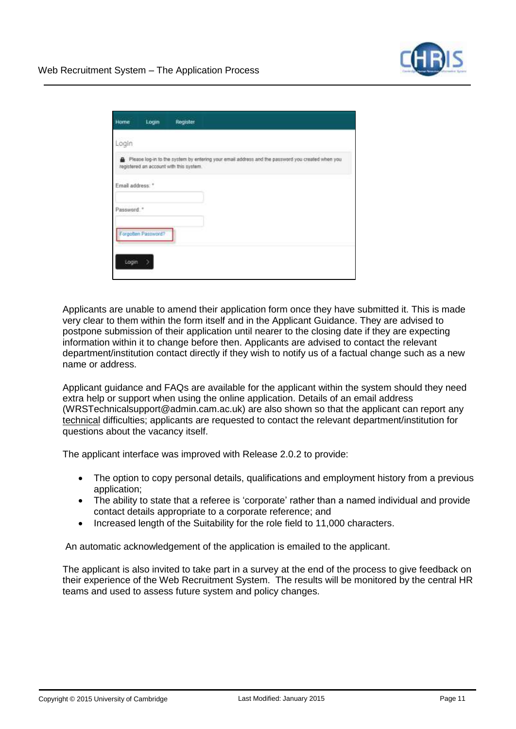

| Home            | Login               | Register                                |                                                                                                  |
|-----------------|---------------------|-----------------------------------------|--------------------------------------------------------------------------------------------------|
| Login           |                     |                                         |                                                                                                  |
|                 |                     | registered an account with this system. | Please log-in to the system by entering your email address and the password you created when you |
| Email address." |                     |                                         |                                                                                                  |
| Password."      |                     |                                         |                                                                                                  |
|                 | Forgotten Password? |                                         |                                                                                                  |
|                 |                     |                                         |                                                                                                  |
| Login.          |                     |                                         |                                                                                                  |

Applicants are unable to amend their application form once they have submitted it. This is made very clear to them within the form itself and in the Applicant Guidance. They are advised to postpone submission of their application until nearer to the closing date if they are expecting information within it to change before then. Applicants are advised to contact the relevant department/institution contact directly if they wish to notify us of a factual change such as a new name or address.

Applicant guidance and FAQs are available for the applicant within the system should they need extra help or support when using the online application. Details of an email address (WRSTechnicalsupport@admin.cam.ac.uk) are also shown so that the applicant can report any technical difficulties; applicants are requested to contact the relevant department/institution for questions about the vacancy itself.

The applicant interface was improved with Release 2.0.2 to provide:

- The option to copy personal details, qualifications and employment history from a previous application;
- The ability to state that a referee is 'corporate' rather than a named individual and provide contact details appropriate to a corporate reference; and
- Increased length of the Suitability for the role field to 11,000 characters.

An automatic acknowledgement of the application is emailed to the applicant.

The applicant is also invited to take part in a survey at the end of the process to give feedback on their experience of the Web Recruitment System. The results will be monitored by the central HR teams and used to assess future system and policy changes.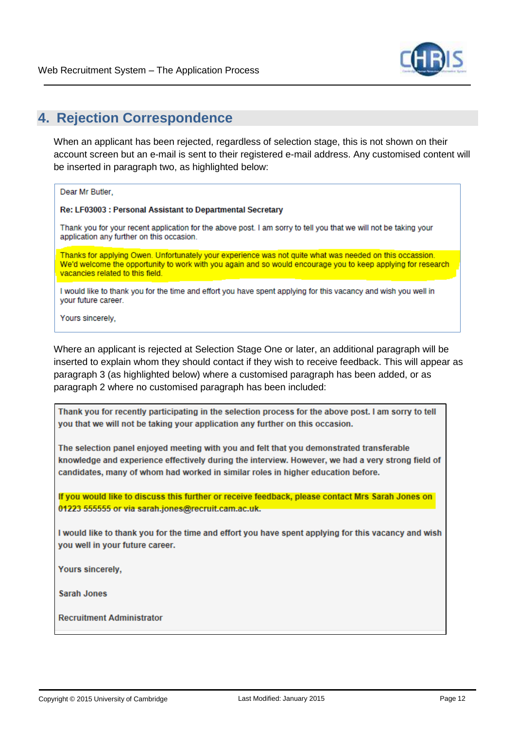

### <span id="page-12-0"></span>**4. Rejection Correspondence**

When an applicant has been rejected, regardless of selection stage, this is not shown on their account screen but an e-mail is sent to their registered e-mail address. Any customised content will be inserted in paragraph two, as highlighted below:

Dear Mr Butler.

Re: LF03003 : Personal Assistant to Departmental Secretary

Thank you for your recent application for the above post. I am sorry to tell you that we will not be taking your application any further on this occasion.

Thanks for applying Owen. Unfortunately your experience was not quite what was needed on this occassion. We'd welcome the opportunity to work with you again and so would encourage you to keep applying for research vacancies related to this field.

I would like to thank you for the time and effort you have spent applying for this vacancy and wish you well in your future career.

Yours sincerely,

Where an applicant is rejected at Selection Stage One or later, an additional paragraph will be inserted to explain whom they should contact if they wish to receive feedback. This will appear as paragraph 3 (as highlighted below) where a customised paragraph has been added, or as paragraph 2 where no customised paragraph has been included:

Thank you for recently participating in the selection process for the above post. I am sorry to tell you that we will not be taking your application any further on this occasion.

The selection panel enjoyed meeting with you and felt that you demonstrated transferable knowledge and experience effectively during the interview. However, we had a very strong field of candidates, many of whom had worked in similar roles in higher education before.

If you would like to discuss this further or receive feedback, please contact Mrs Sarah Jones on 01223 555555 or via sarah.jones@recruit.cam.ac.uk.

I would like to thank you for the time and effort you have spent applying for this vacancy and wish you well in your future career.

Yours sincerely.

**Sarah Jones** 

**Recruitment Administrator**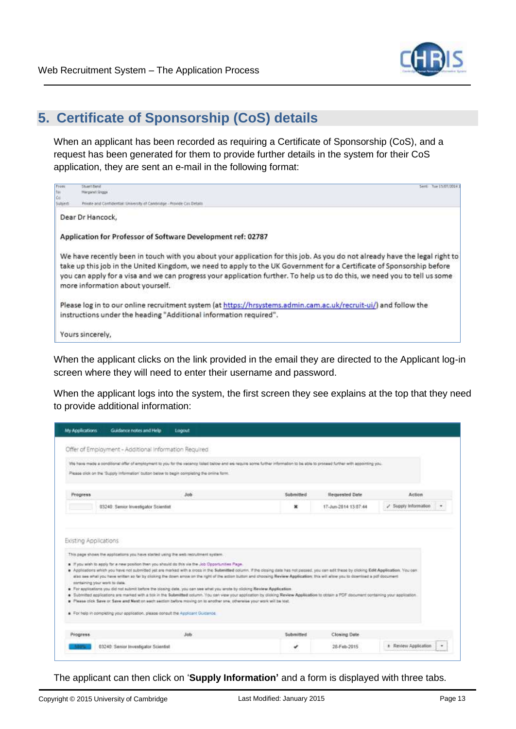

# <span id="page-13-0"></span>**5. Certificate of Sponsorship (CoS) details**

When an applicant has been recorded as requiring a Certificate of Sponsorship (CoS), and a request has been generated for them to provide further details in the system for their CoS application, they are sent an e-mail in the following format:

| From                 | <b>Chusen Harvis</b><br>Secret Traje EN/RECORD                                                                                                                                                                                                                                                                                                                                                                       |
|----------------------|----------------------------------------------------------------------------------------------------------------------------------------------------------------------------------------------------------------------------------------------------------------------------------------------------------------------------------------------------------------------------------------------------------------------|
|                      | <b>Narssand Greek</b>                                                                                                                                                                                                                                                                                                                                                                                                |
| fai<br>Co<br>Subject | Prinzte and Confidential University of Cantridge - Provide Circ Detail                                                                                                                                                                                                                                                                                                                                               |
|                      | Dear Dr Hancock.                                                                                                                                                                                                                                                                                                                                                                                                     |
|                      | Application for Professor of Software Development ref: 02787                                                                                                                                                                                                                                                                                                                                                         |
|                      | We have recently been in touch with you about your application for this job. As you do not already have the legal right to<br>take up this job in the United Kingdom, we need to apply to the UK Government for a Certificate of Sponsorship before<br>you can apply for a visa and we can progress your application further. To help us to do this, we need you to tell us some<br>more information about yourself. |
|                      | Please log in to our online recruitment system (at https://hrsystems.admin.cam.ac.uk/recruit-ui/) and follow the<br>instructions under the heading "Additional information required".                                                                                                                                                                                                                                |
|                      | Yours sincerely,                                                                                                                                                                                                                                                                                                                                                                                                     |

When the applicant clicks on the link provided in the email they are directed to the Applicant log-in screen where they will need to enter their username and password.

When the applicant logs into the system, the first screen they see explains at the top that they need to provide additional information:

|                       | Offer of Employment - Additional Information Required                                                                                                                                    |                                                                                                                                                                                                                                                                                                                                                                                                                                                                                                                                                                                                                                                                                                                                                                                                                                    |           |                      |                    |
|-----------------------|------------------------------------------------------------------------------------------------------------------------------------------------------------------------------------------|------------------------------------------------------------------------------------------------------------------------------------------------------------------------------------------------------------------------------------------------------------------------------------------------------------------------------------------------------------------------------------------------------------------------------------------------------------------------------------------------------------------------------------------------------------------------------------------------------------------------------------------------------------------------------------------------------------------------------------------------------------------------------------------------------------------------------------|-----------|----------------------|--------------------|
|                       | Please click on the 'Supply Information' button below to begin completing the online form.                                                                                               | We have made a conditional offer of employment to you for the vacancy listed below and we require some further information to be able to proceed further with appointing you.                                                                                                                                                                                                                                                                                                                                                                                                                                                                                                                                                                                                                                                      |           |                      |                    |
| Progress              |                                                                                                                                                                                          | <b>Job</b>                                                                                                                                                                                                                                                                                                                                                                                                                                                                                                                                                                                                                                                                                                                                                                                                                         | Submitted | Requested Date       | <b>Action</b>      |
|                       | 03240: Senior Investigator Scientist                                                                                                                                                     |                                                                                                                                                                                                                                                                                                                                                                                                                                                                                                                                                                                                                                                                                                                                                                                                                                    | ×         | 17-Jun-2014 13:07:44 | Supply Information |
|                       | This page shows the applications you have started using the web recruitment system.<br>. If you wish to apply for a new position then you should do this via the Job Opportunities Page. |                                                                                                                                                                                                                                                                                                                                                                                                                                                                                                                                                                                                                                                                                                                                                                                                                                    |           |                      |                    |
| Existing Applications | containing your work to date.<br>For help in completing your application, please consult the Applicant Guidance.                                                                         | . Appleadors which you have not submitted yet are marked with a cross in the Submittled column. If the closing data has not passed, you can adit these by closing Edit Application. You can<br>also see what you have written so far by cloking the down arrow on the right of the action button and choosing. Review Application: this will allow you to download a pot document<br>For applications you did not submit before the closing date, you can see what you wrote by cloking Review Application.<br>. Submitted applications are marked with a tick in the Submitted column. You can view your application by clicking Review Application to ottain a PDF mournent containing your application<br>Please click Save or Save and Next on each settler before moving on to enother one, otherwise your work will be tost. |           |                      |                    |
| Progress.             |                                                                                                                                                                                          | <b>Jnb</b>                                                                                                                                                                                                                                                                                                                                                                                                                                                                                                                                                                                                                                                                                                                                                                                                                         | Submitted | <b>Clowing Date</b>  |                    |

The applicant can then click on '**Supply Information'** and a form is displayed with three tabs.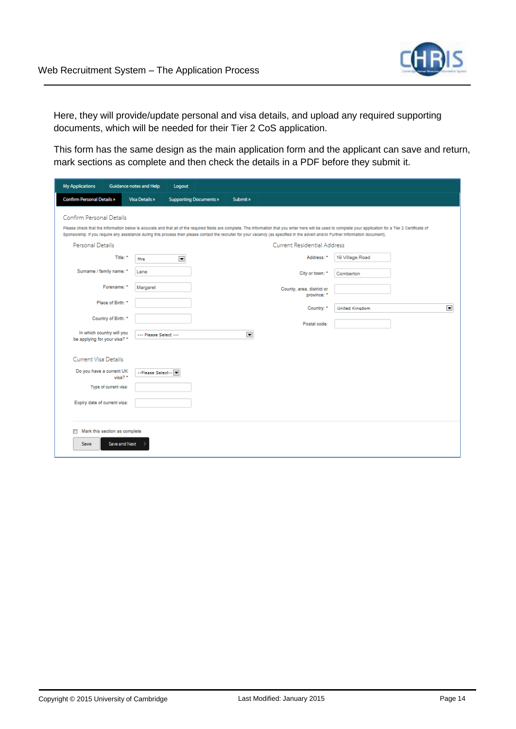

Here, they will provide/update personal and visa details, and upload any required supporting documents, which will be needed for their Tier 2 CoS application.

This form has the same design as the main application form and the applicant can save and return, mark sections as complete and then check the details in a PDF before they submit it.

| <b>My Applications</b>                                    | Guidance notes and Help | Logout                        |                |                                                                                                                                                                                     |                                                                                                                                                                                                                 |
|-----------------------------------------------------------|-------------------------|-------------------------------|----------------|-------------------------------------------------------------------------------------------------------------------------------------------------------------------------------------|-----------------------------------------------------------------------------------------------------------------------------------------------------------------------------------------------------------------|
| <b>Confirm Personal Details »</b>                         | Visa Details »          | <b>Supporting Documents »</b> | Submit »       |                                                                                                                                                                                     |                                                                                                                                                                                                                 |
| Confirm Personal Details                                  |                         |                               |                |                                                                                                                                                                                     |                                                                                                                                                                                                                 |
|                                                           |                         |                               |                | Sponsorship. If you require any assistance during this process then please contact the recruiter for your vacancy (as specified in the advert and/or Further information document). | Please check that the information below is accurate and that all of the required fields are complete. The information that you enter here will be used to complete your application for a Tier 2 Certificate of |
| Personal Details                                          |                         |                               |                | Current Residential Address                                                                                                                                                         |                                                                                                                                                                                                                 |
| Title: *                                                  | Mrs                     | $\blacksquare$                |                | Address: *                                                                                                                                                                          | 19 Village Road                                                                                                                                                                                                 |
| Surname / family name: *                                  | Lane                    |                               |                | City or town: *                                                                                                                                                                     | Comberton                                                                                                                                                                                                       |
| Forename: *                                               | Margaret                |                               |                | County, area, district or<br>province: *                                                                                                                                            |                                                                                                                                                                                                                 |
| Place of Birth: *                                         |                         |                               |                | Country: *                                                                                                                                                                          | $\blacksquare$<br><b>United Kingdom</b>                                                                                                                                                                         |
| Country of Birth: *                                       |                         |                               |                | Postal code:                                                                                                                                                                        |                                                                                                                                                                                                                 |
| In which country will you<br>be applying for your visa? * | --- Please Select ---   |                               | $\blacksquare$ |                                                                                                                                                                                     |                                                                                                                                                                                                                 |
| <b>Current Visa Details</b>                               |                         |                               |                |                                                                                                                                                                                     |                                                                                                                                                                                                                 |
| Do you have a current UK<br>visa? *                       | --Please Select--       |                               |                |                                                                                                                                                                                     |                                                                                                                                                                                                                 |
| Type of current visa:                                     |                         |                               |                |                                                                                                                                                                                     |                                                                                                                                                                                                                 |
| Expiry date of current visa:                              |                         |                               |                |                                                                                                                                                                                     |                                                                                                                                                                                                                 |
| Mark this section as complete<br>m                        |                         |                               |                |                                                                                                                                                                                     |                                                                                                                                                                                                                 |
| Save and Next<br>Save                                     |                         |                               |                |                                                                                                                                                                                     |                                                                                                                                                                                                                 |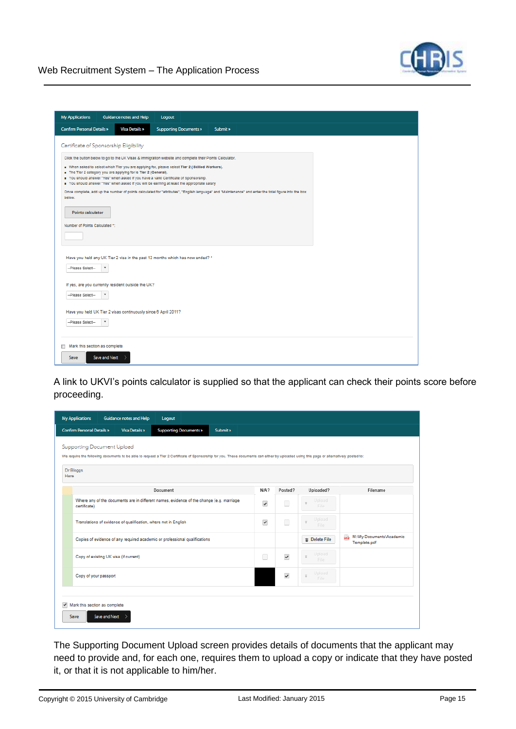

A link to UKVI's points calculator is supplied so that the applicant can check their points score before proceeding.

| <b>My Applications</b>                              | Guidance notes and Help                                                                                                                                                                                                | Logout                        |          |              |                                  |                                    |                                                |
|-----------------------------------------------------|------------------------------------------------------------------------------------------------------------------------------------------------------------------------------------------------------------------------|-------------------------------|----------|--------------|----------------------------------|------------------------------------|------------------------------------------------|
| <b>Confirm Personal Details »</b>                   | <b>Visa Details »</b>                                                                                                                                                                                                  | <b>Supporting Documents »</b> | Submit » |              |                                  |                                    |                                                |
|                                                     | Supporting Document Upload<br>We require the following documents to be able to request a Tier 2 Certificate of Sponsorship for you. These documents can either by uploaded using this page or alternatively posted to: |                               |          |              |                                  |                                    |                                                |
| Dr Bloggs<br>Here                                   |                                                                                                                                                                                                                        |                               |          |              |                                  |                                    |                                                |
|                                                     |                                                                                                                                                                                                                        | Document                      |          | $N/A$ ?      | Posted?                          | Uploaded?                          | Filename                                       |
|                                                     | Where any of the documents are in different names, evidence of the change (e.g. marriage<br>certificate)                                                                                                               |                               |          | $\checkmark$ | П                                | Upload<br>$\overline{+}$<br>File   |                                                |
|                                                     | Translations of evidence of qualification, where not in English                                                                                                                                                        |                               |          | $\checkmark$ | П                                | Upload<br>$\overline{\mp}$<br>File |                                                |
|                                                     | Copies of evidence of any required academic or professional qualifications                                                                                                                                             |                               |          |              |                                  | <b>The Delete File</b>             | M:\My Documents\Academic<br>æ.<br>Template.pdf |
| Copy of existing UK visa (if current)               |                                                                                                                                                                                                                        |                               | П        | $\checkmark$ | Upload<br>$\overline{+}$<br>File |                                    |                                                |
|                                                     | Copy of your passport                                                                                                                                                                                                  |                               |          |              | $\checkmark$                     | Upload<br>$\frac{1}{2}$<br>File    |                                                |
| $\blacktriangleright$ Mark this section as complete |                                                                                                                                                                                                                        |                               |          |              |                                  |                                    |                                                |
| Save                                                | Save and Next                                                                                                                                                                                                          |                               |          |              |                                  |                                    |                                                |

The Supporting Document Upload screen provides details of documents that the applicant may need to provide and, for each one, requires them to upload a copy or indicate that they have posted it, or that it is not applicable to him/her.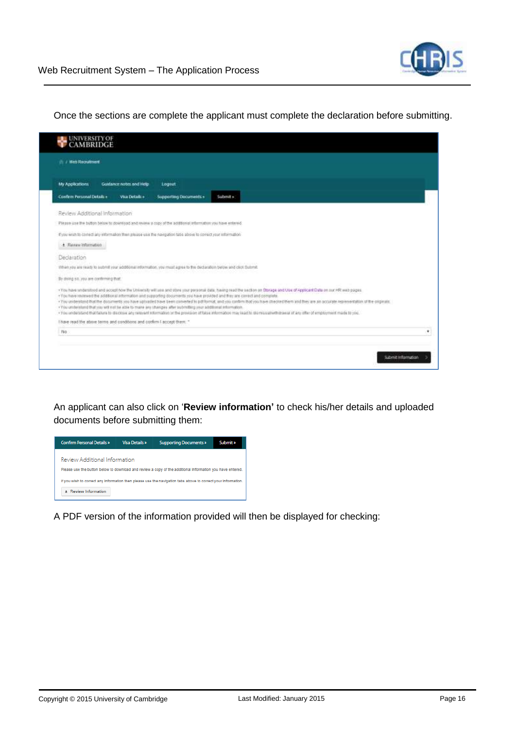Once the sections are complete the applicant must complete the declaration before submitting.

| <b>IN the Requirent</b>              |                                                                        |                                                                                                                       |                                                                                                                                                                                                                                                                                                                                                                                                                                                                                                                                                                                                                                                                                                   |
|--------------------------------------|------------------------------------------------------------------------|-----------------------------------------------------------------------------------------------------------------------|---------------------------------------------------------------------------------------------------------------------------------------------------------------------------------------------------------------------------------------------------------------------------------------------------------------------------------------------------------------------------------------------------------------------------------------------------------------------------------------------------------------------------------------------------------------------------------------------------------------------------------------------------------------------------------------------------|
| <b>My Applications</b>               | Guidance notes and Help                                                | Logaut                                                                                                                |                                                                                                                                                                                                                                                                                                                                                                                                                                                                                                                                                                                                                                                                                                   |
| Confirm Personal Details in          | Vita Details +                                                         | <b>Supporting Documents +</b>                                                                                         | Submit »                                                                                                                                                                                                                                                                                                                                                                                                                                                                                                                                                                                                                                                                                          |
| Review Additional Information        |                                                                        |                                                                                                                       |                                                                                                                                                                                                                                                                                                                                                                                                                                                                                                                                                                                                                                                                                                   |
|                                      |                                                                        | Please use the button below to download and review a copy of the additional information you have entered.             |                                                                                                                                                                                                                                                                                                                                                                                                                                                                                                                                                                                                                                                                                                   |
|                                      |                                                                        | Eyou wish to correct any information than please use the navigation table above to correct your reformation.          |                                                                                                                                                                                                                                                                                                                                                                                                                                                                                                                                                                                                                                                                                                   |
| + Review Information                 |                                                                        |                                                                                                                       |                                                                                                                                                                                                                                                                                                                                                                                                                                                                                                                                                                                                                                                                                                   |
| Declaration                          |                                                                        |                                                                                                                       |                                                                                                                                                                                                                                                                                                                                                                                                                                                                                                                                                                                                                                                                                                   |
|                                      |                                                                        | When you are ready to submit your additional information, you must agree to the declaration below and click theirmit. |                                                                                                                                                                                                                                                                                                                                                                                                                                                                                                                                                                                                                                                                                                   |
| By doing so, you are continuing that |                                                                        |                                                                                                                       |                                                                                                                                                                                                                                                                                                                                                                                                                                                                                                                                                                                                                                                                                                   |
|                                      |                                                                        | +You understand that you will not be able to mane any changes after submitting your additional information.           | +You have undetailed and accept now the University will use and atore your possorial data. Yawng read the section on Starage and Use of Applicant Data on our HR web pages.<br>+You have reverwed the additional information and supporting documents you have provided and they are content and complete.<br>+ You understand that the documents you have uploaded have been converted to pat format, and you continuiting you have checked them and they are an accurate representation of the criginals.<br>+ You undelstand that failure to disclose any relevant information or the provision of false information may lead to dismissaliwith trawal of any offer of employment made to you. |
|                                      | I have road the above terms and conditions and confirm I accept them." |                                                                                                                       |                                                                                                                                                                                                                                                                                                                                                                                                                                                                                                                                                                                                                                                                                                   |
| No:                                  |                                                                        |                                                                                                                       |                                                                                                                                                                                                                                                                                                                                                                                                                                                                                                                                                                                                                                                                                                   |

An applicant can also click on '**Review information'** to check his/her details and uploaded documents before submitting them:



A PDF version of the information provided will then be displayed for checking: